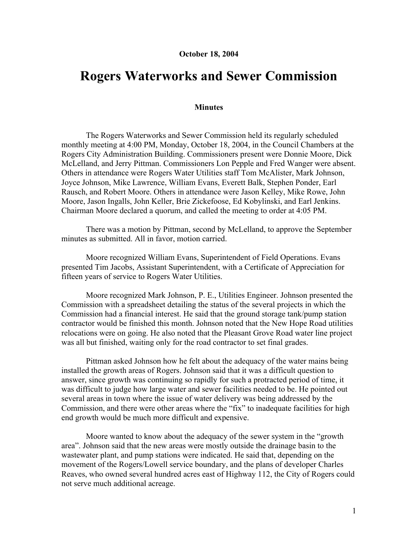## **October 18, 2004**

## **Rogers Waterworks and Sewer Commission**

## **Minutes**

The Rogers Waterworks and Sewer Commission held its regularly scheduled monthly meeting at 4:00 PM, Monday, October 18, 2004, in the Council Chambers at the Rogers City Administration Building. Commissioners present were Donnie Moore, Dick McLelland, and Jerry Pittman. Commissioners Lon Pepple and Fred Wanger were absent. Others in attendance were Rogers Water Utilities staff Tom McAlister, Mark Johnson, Joyce Johnson, Mike Lawrence, William Evans, Everett Balk, Stephen Ponder, Earl Rausch, and Robert Moore. Others in attendance were Jason Kelley, Mike Rowe, John Moore, Jason Ingalls, John Keller, Brie Zickefoose, Ed Kobylinski, and Earl Jenkins. Chairman Moore declared a quorum, and called the meeting to order at 4:05 PM.

There was a motion by Pittman, second by McLelland, to approve the September minutes as submitted. All in favor, motion carried.

Moore recognized William Evans, Superintendent of Field Operations. Evans presented Tim Jacobs, Assistant Superintendent, with a Certificate of Appreciation for fifteen years of service to Rogers Water Utilities.

Moore recognized Mark Johnson, P. E., Utilities Engineer. Johnson presented the Commission with a spreadsheet detailing the status of the several projects in which the Commission had a financial interest. He said that the ground storage tank/pump station contractor would be finished this month. Johnson noted that the New Hope Road utilities relocations were on going. He also noted that the Pleasant Grove Road water line project was all but finished, waiting only for the road contractor to set final grades.

Pittman asked Johnson how he felt about the adequacy of the water mains being installed the growth areas of Rogers. Johnson said that it was a difficult question to answer, since growth was continuing so rapidly for such a protracted period of time, it was difficult to judge how large water and sewer facilities needed to be. He pointed out several areas in town where the issue of water delivery was being addressed by the Commission, and there were other areas where the "fix" to inadequate facilities for high end growth would be much more difficult and expensive.

Moore wanted to know about the adequacy of the sewer system in the "growth area". Johnson said that the new areas were mostly outside the drainage basin to the wastewater plant, and pump stations were indicated. He said that, depending on the movement of the Rogers/Lowell service boundary, and the plans of developer Charles Reaves, who owned several hundred acres east of Highway 112, the City of Rogers could not serve much additional acreage.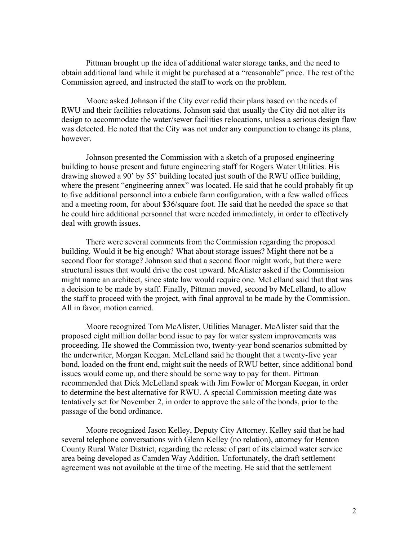Pittman brought up the idea of additional water storage tanks, and the need to obtain additional land while it might be purchased at a "reasonable" price. The rest of the Commission agreed, and instructed the staff to work on the problem.

Moore asked Johnson if the City ever redid their plans based on the needs of RWU and their facilities relocations. Johnson said that usually the City did not alter its design to accommodate the water/sewer facilities relocations, unless a serious design flaw was detected. He noted that the City was not under any compunction to change its plans, however.

Johnson presented the Commission with a sketch of a proposed engineering building to house present and future engineering staff for Rogers Water Utilities. His drawing showed a 90' by 55' building located just south of the RWU office building, where the present "engineering annex" was located. He said that he could probably fit up to five additional personnel into a cubicle farm configuration, with a few walled offices and a meeting room, for about \$36/square foot. He said that he needed the space so that he could hire additional personnel that were needed immediately, in order to effectively deal with growth issues.

There were several comments from the Commission regarding the proposed building. Would it be big enough? What about storage issues? Might there not be a second floor for storage? Johnson said that a second floor might work, but there were structural issues that would drive the cost upward. McAlister asked if the Commission might name an architect, since state law would require one. McLelland said that that was a decision to be made by staff. Finally, Pittman moved, second by McLelland, to allow the staff to proceed with the project, with final approval to be made by the Commission. All in favor, motion carried.

Moore recognized Tom McAlister, Utilities Manager. McAlister said that the proposed eight million dollar bond issue to pay for water system improvements was proceeding. He showed the Commission two, twenty-year bond scenarios submitted by the underwriter, Morgan Keegan. McLelland said he thought that a twenty-five year bond, loaded on the front end, might suit the needs of RWU better, since additional bond issues would come up, and there should be some way to pay for them. Pittman recommended that Dick McLelland speak with Jim Fowler of Morgan Keegan, in order to determine the best alternative for RWU. A special Commission meeting date was tentatively set for November 2, in order to approve the sale of the bonds, prior to the passage of the bond ordinance.

Moore recognized Jason Kelley, Deputy City Attorney. Kelley said that he had several telephone conversations with Glenn Kelley (no relation), attorney for Benton County Rural Water District, regarding the release of part of its claimed water service area being developed as Camden Way Addition. Unfortunately, the draft settlement agreement was not available at the time of the meeting. He said that the settlement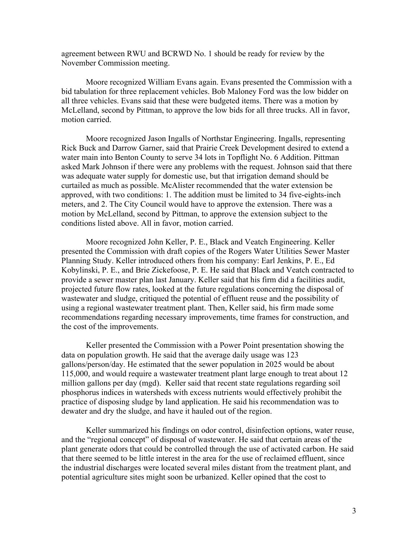agreement between RWU and BCRWD No. 1 should be ready for review by the November Commission meeting.

Moore recognized William Evans again. Evans presented the Commission with a bid tabulation for three replacement vehicles. Bob Maloney Ford was the low bidder on all three vehicles. Evans said that these were budgeted items. There was a motion by McLelland, second by Pittman, to approve the low bids for all three trucks. All in favor, motion carried.

Moore recognized Jason Ingalls of Northstar Engineering. Ingalls, representing Rick Buck and Darrow Garner, said that Prairie Creek Development desired to extend a water main into Benton County to serve 34 lots in Topflight No. 6 Addition. Pittman asked Mark Johnson if there were any problems with the request. Johnson said that there was adequate water supply for domestic use, but that irrigation demand should be curtailed as much as possible. McAlister recommended that the water extension be approved, with two conditions: 1. The addition must be limited to 34 five-eights-inch meters, and 2. The City Council would have to approve the extension. There was a motion by McLelland, second by Pittman, to approve the extension subject to the conditions listed above. All in favor, motion carried.

Moore recognized John Keller, P. E., Black and Veatch Engineering. Keller presented the Commission with draft copies of the Rogers Water Utilities Sewer Master Planning Study. Keller introduced others from his company: Earl Jenkins, P. E., Ed Kobylinski, P. E., and Brie Zickefoose, P. E. He said that Black and Veatch contracted to provide a sewer master plan last January. Keller said that his firm did a facilities audit, projected future flow rates, looked at the future regulations concerning the disposal of wastewater and sludge, critiqued the potential of effluent reuse and the possibility of using a regional wastewater treatment plant. Then, Keller said, his firm made some recommendations regarding necessary improvements, time frames for construction, and the cost of the improvements.

Keller presented the Commission with a Power Point presentation showing the data on population growth. He said that the average daily usage was 123 gallons/person/day. He estimated that the sewer population in 2025 would be about 115,000, and would require a wastewater treatment plant large enough to treat about 12 million gallons per day (mgd). Keller said that recent state regulations regarding soil phosphorus indices in watersheds with excess nutrients would effectively prohibit the practice of disposing sludge by land application. He said his recommendation was to dewater and dry the sludge, and have it hauled out of the region.

Keller summarized his findings on odor control, disinfection options, water reuse, and the "regional concept" of disposal of wastewater. He said that certain areas of the plant generate odors that could be controlled through the use of activated carbon. He said that there seemed to be little interest in the area for the use of reclaimed effluent, since the industrial discharges were located several miles distant from the treatment plant, and potential agriculture sites might soon be urbanized. Keller opined that the cost to